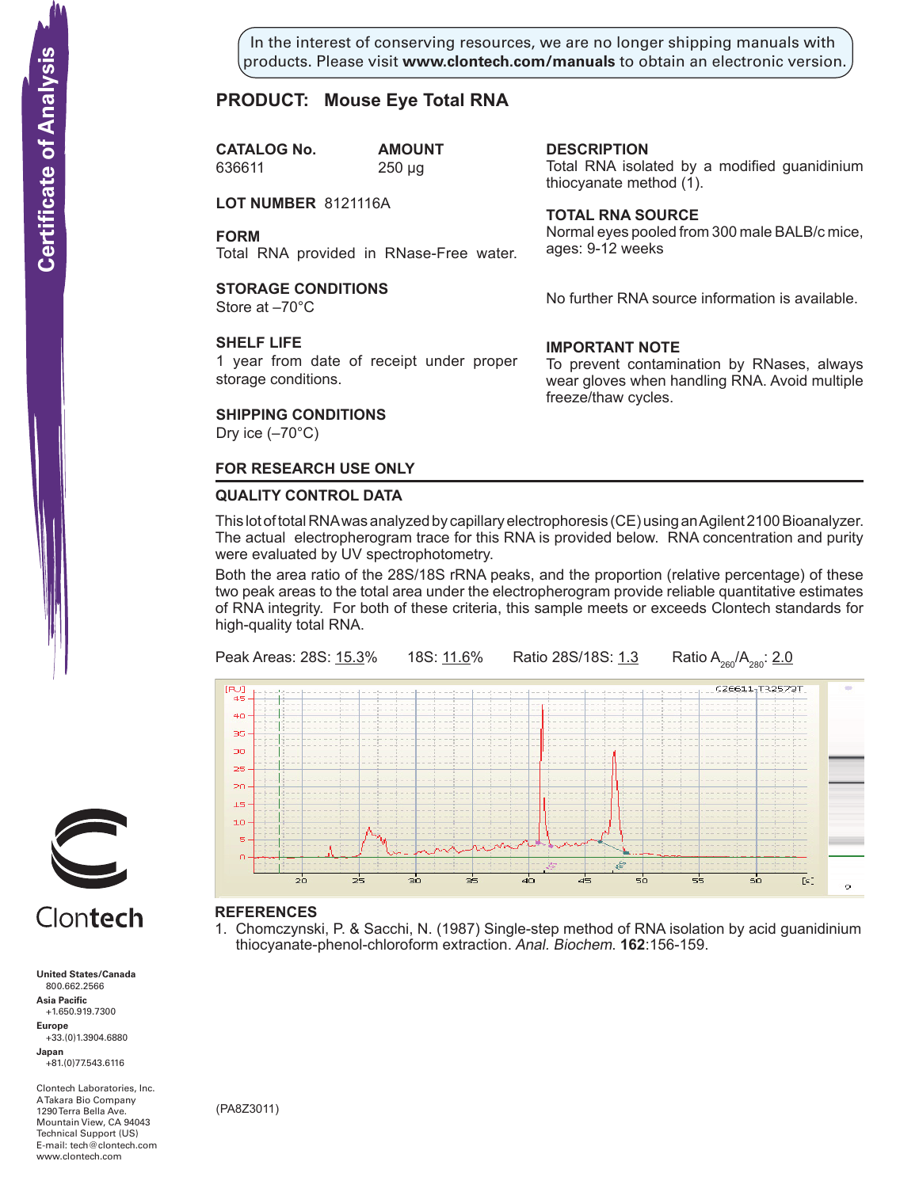In the interest of conserving resources, we are no longer shipping manuals with products. Please visit **www.clontech.com/manuals** to obtain an electronic version.

**description**

thiocyanate method  $(1)$ .

**Total RNA source**

ages: 9-12 weeks

**IMPORTANT NOTE**

freeze/thaw cycles.

Total RNA isolated by a modified guanidinium

Normal eyes pooled from 300 male BALB/c mice,

No further RNA source information is available.

To prevent contamination by RNases, always wear gloves when handling RNA. Avoid multiple

# **PRODUCT: Mouse Eye Total RNA**

**CATALOG No. AMOUNT** 636611 250 µg

**LOT NUMBER** 8121116A

**FORM**

Total RNA provided in RNase-Free water.

# **STORAGE CONDITIONS**

Store at –70°C

### **SHELF LIFE**

1 year from date of receipt under proper storage conditions.

### **SHIPPING CONDITIONS**

Dry ice  $(-70^{\circ}C)$ 

## **FOR RESEARCH USE ONLY**

### **QUALITY CONTROL DATA**

This lot of total RNA was analyzed by capillary electrophoresis (CE) using an Agilent 2100 Bioanalyzer. The actual electropherogram trace for this RNA is provided below. RNA concentration and purity were evaluated by UV spectrophotometry.

Both the area ratio of the 28S/18S rRNA peaks, and the proportion (relative percentage) of these two peak areas to the total area under the electropherogram provide reliable quantitative estimates of RNA integrity. For both of these criteria, this sample meets or exceeds Clontech standards for high-quality total RNA.



# **References**

1. Chomczynski, P. & Sacchi, N. (1987) Single-step method of RNA isolation by acid guanidinium thiocyanate-phenol-chloroform extraction. Anal. Biochem. **162**:156-159.



# Clontech

**United States/Canada** 800.662.2566 **Asia Pacific** +1.650.919.7300 **Europe** +33.(0)1.3904.6880 **Japan** +81.(0)77.543.6116 **Solution Control Control Control Control Control Control Control Control Control Control Control Control Control Control Control Control Control Control Control Control Control Control Control Control Control Control Cont** 

Clontech Laboratories, Inc. A Takara Bio Company 1290 Terra Bella Ave. Mountain View, CA 94043 Technical Support (US) E-mail: tech@clontech.com<br>www.clontech.com

(PA8Z3011)